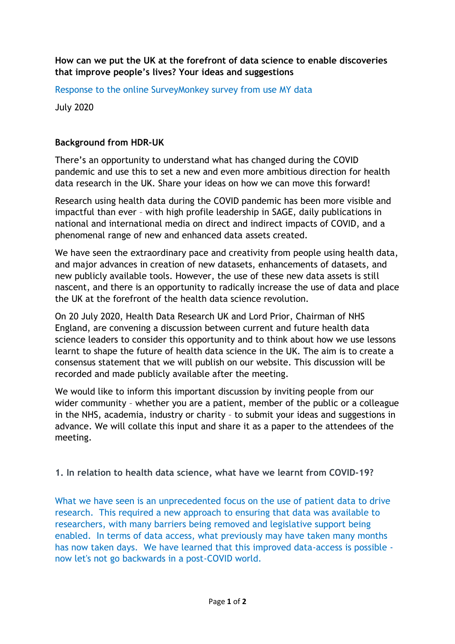## **How can we put the UK at the forefront of data science to enable discoveries that improve people's lives? Your ideas and suggestions**

Response to the online SurveyMonkey survey from use MY data

July 2020

# **Background from HDR-UK**

There's an opportunity to understand what has changed during the COVID pandemic and use this to set a new and even more ambitious direction for health data research in the UK. Share your ideas on how we can move this forward!

Research using health data during the COVID pandemic has been more visible and impactful than ever – with high profile leadership in SAGE, daily publications in national and international media on direct and indirect impacts of COVID, and a phenomenal range of new and enhanced data assets created.

We have seen the extraordinary pace and creativity from people using health data, and major advances in creation of new datasets, enhancements of datasets, and new publicly available tools. However, the use of these new data assets is still nascent, and there is an opportunity to radically increase the use of data and place the UK at the forefront of the health data science revolution.

On 20 July 2020, Health Data Research UK and Lord Prior, Chairman of NHS England, are convening a discussion between current and future health data science leaders to consider this opportunity and to think about how we use lessons learnt to shape the future of health data science in the UK. The aim is to create a consensus statement that we will publish on our website. This discussion will be recorded and made publicly available after the meeting.

We would like to inform this important discussion by inviting people from our wider community – whether you are a patient, member of the public or a colleague in the NHS, academia, industry or charity – to submit your ideas and suggestions in advance. We will collate this input and share it as a paper to the attendees of the meeting.

**1. In relation to health data science, what have we learnt from COVID-19?**

What we have seen is an unprecedented focus on the use of patient data to drive research. This required a new approach to ensuring that data was available to researchers, with many barriers being removed and legislative support being enabled. In terms of data access, what previously may have taken many months has now taken days. We have learned that this improved data-access is possible now let's not go backwards in a post-COVID world.